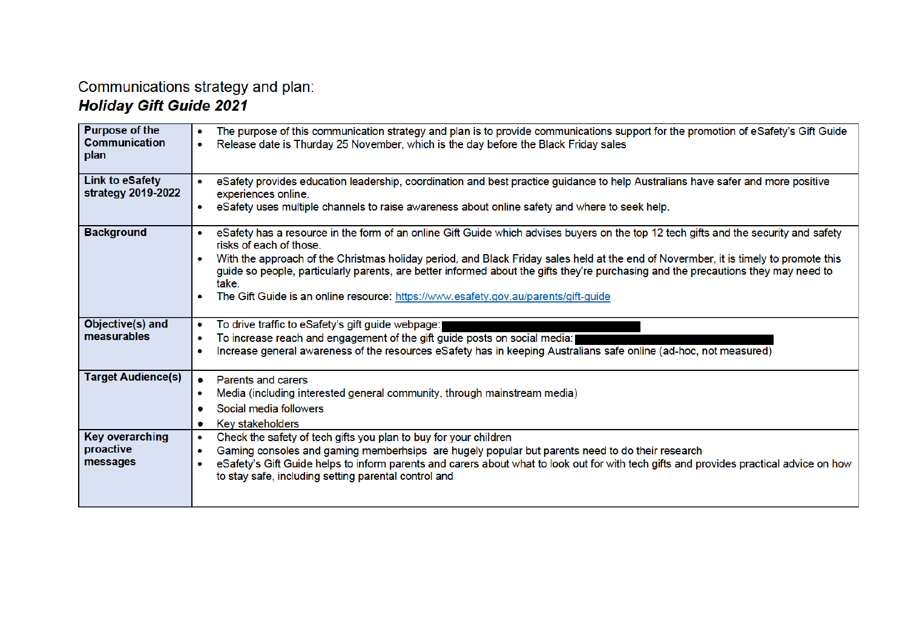# Communications strategy and plan:<br>Holiday Gift Guide 2021

| <b>Purpose of the</b><br><b>Communication</b><br>plan | The purpose of this communication strategy and plan is to provide communications support for the promotion of eSafety's Gift Guide<br>Release date is Thurday 25 November, which is the day before the Black Friday sales                                                                                                                                                                                                                                                                                                                                  |
|-------------------------------------------------------|------------------------------------------------------------------------------------------------------------------------------------------------------------------------------------------------------------------------------------------------------------------------------------------------------------------------------------------------------------------------------------------------------------------------------------------------------------------------------------------------------------------------------------------------------------|
| <b>Link to eSafety</b><br>strategy 2019-2022          | eSafety provides education leadership, coordination and best practice guidance to help Australians have safer and more positive<br>experiences online.<br>eSafety uses multiple channels to raise awareness about online safety and where to seek help.<br>$\bullet$                                                                                                                                                                                                                                                                                       |
| <b>Background</b>                                     | eSafety has a resource in the form of an online Gift Guide which advises buyers on the top 12 tech gifts and the security and safety<br>risks of each of those.<br>With the approach of the Christmas holiday period, and Black Friday sales held at the end of Novermber, it is timely to promote this<br>$\bullet$<br>guide so people, particularly parents, are better informed about the gifts they're purchasing and the precautions they may need to<br>take.<br>The Gift Guide is an online resource: https://www.esafety.gov.au/parents/gift-guide |
| Objective(s) and<br>measurables                       | To drive traffic to eSafety's gift guide webpage:<br>To increase reach and engagement of the gift guide posts on social media:<br>Increase general awareness of the resources eSafety has in keeping Australians safe online (ad-hoc, not measured)<br>$\bullet$                                                                                                                                                                                                                                                                                           |
| <b>Target Audience(s)</b>                             | <b>Parents and carers</b><br>Media (including interested general community, through mainstream media)<br>Social media followers<br>$\bullet$<br>Key stakeholders<br>۰                                                                                                                                                                                                                                                                                                                                                                                      |
| <b>Key overarching</b><br>proactive<br>messages       | Check the safety of tech gifts you plan to buy for your children<br>۰<br>Gaming consoles and gaming memberhsips are hugely popular but parents need to do their research<br>eSafety's Gift Guide helps to inform parents and carers about what to look out for with tech gifts and provides practical advice on how<br>to stay safe, including setting parental control and                                                                                                                                                                                |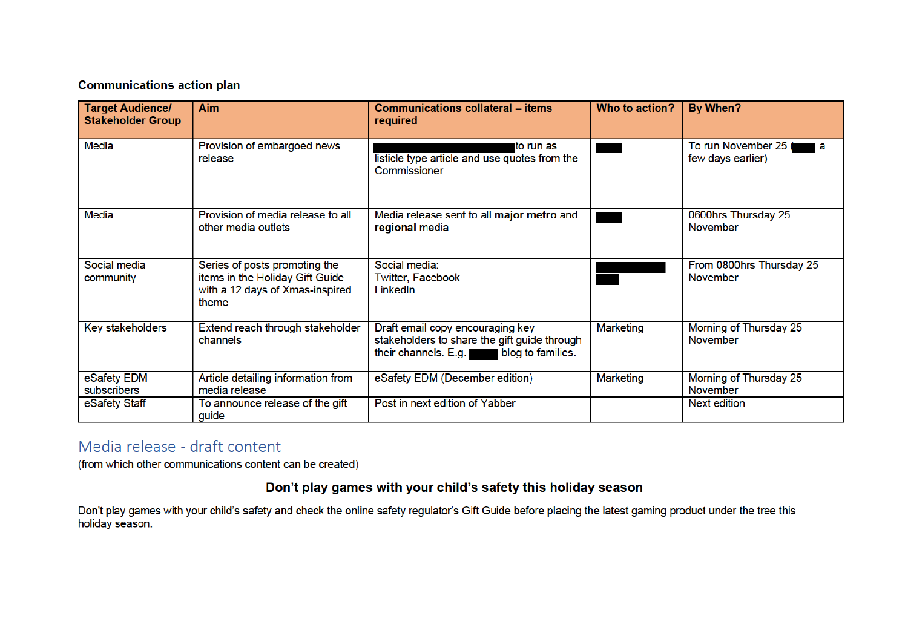### **Communications action plan**

| <b>Target Audience/</b><br><b>Stakeholder Group</b> | <b>Aim</b>                                                                                                   | <b>Communications collateral – items</b><br>required                                                                       | Who to action?   | By When?                                       |
|-----------------------------------------------------|--------------------------------------------------------------------------------------------------------------|----------------------------------------------------------------------------------------------------------------------------|------------------|------------------------------------------------|
| Media                                               | Provision of embargoed news<br>release                                                                       | to run as<br>listicle type article and use quotes from the<br>Commissioner                                                 |                  | To run November 25<br>l a<br>few days earlier) |
| Media                                               | Provision of media release to all<br>other media outlets                                                     | Media release sent to all major metro and<br>regional media                                                                |                  | 0600hrs Thursday 25<br>November                |
| Social media<br>community                           | Series of posts promoting the<br>items in the Holiday Gift Guide<br>with a 12 days of Xmas-inspired<br>theme | Social media:<br>Twitter, Facebook<br>LinkedIn                                                                             |                  | From 0800hrs Thursday 25<br><b>November</b>    |
| Key stakeholders                                    | Extend reach through stakeholder<br>channels                                                                 | Draft email copy encouraging key<br>stakeholders to share the gift guide through<br>their channels. E.g. blog to families. | <b>Marketing</b> | Morning of Thursday 25<br><b>November</b>      |
| eSafety EDM<br>subscribers                          | Article detailing information from<br>media release                                                          | eSafety EDM (December edition)                                                                                             | Marketing        | Morning of Thursday 25<br>November             |
| eSafety Staff                                       | To announce release of the gift<br>guide                                                                     | Post in next edition of Yabber                                                                                             |                  | Next edition                                   |

## Media release - draft content

(from which other communications content can be created)

## Don't play games with your child's safety this holiday season

Don't play games with your child's safety and check the online safety regulator's Gift Guide before placing the latest gaming product under the tree this holiday season.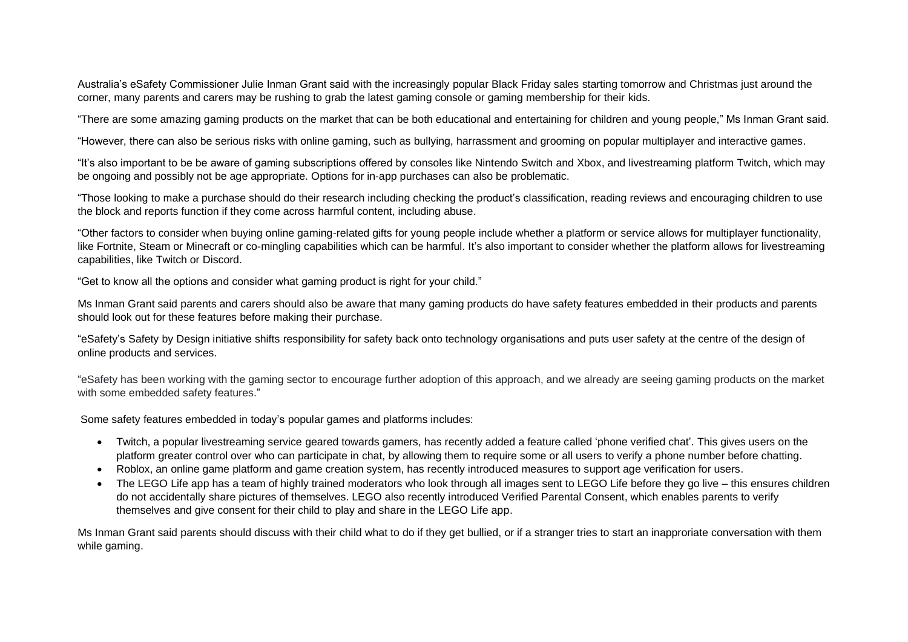Australia's eSafety Commissioner Julie Inman Grant said with the increasingly popular Black Friday sales starting tomorrow and Christmas just around the corner, many parents and carers may be rushing to grab the latest gaming console or gaming membership for their kids.

"There are some amazing gaming products on the market that can be both educational and entertaining for children and young people," Ms Inman Grant said.

"However, there can also be serious risks with online gaming, such as bullying, harrassment and grooming on popular multiplayer and interactive games.

"It's also important to be be aware of gaming subscriptions offered by consoles like Nintendo Switch and Xbox, and livestreaming platform Twitch, which may be ongoing and possibly not be age appropriate. Options for in-app purchases can also be problematic.

"Those looking to make a purchase should do their research including checking the product's classification, reading reviews and encouraging children to use the block and reports function if they come across harmful content, including abuse.

"Other factors to consider when buying online gaming-related gifts for young people include whether a platform or service allows for multiplayer functionality, like Fortnite, Steam or Minecraft or co-mingling capabilities which can be harmful. It's also important to consider whether the platform allows for livestreaming capabilities, like Twitch or Discord.

"Get to know all the options and consider what gaming product is right for your child."

Ms Inman Grant said parents and carers should also be aware that many gaming products do have safety features embedded in their products and parents should look out for these features before making their purchase.

"eSafety's Safety by Design initiative shifts responsibility for safety back onto technology organisations and puts user safety at the centre of the design of online products and services.

"eSafety has been working with the gaming sector to encourage further adoption of this approach, and we already are seeing gaming products on the market with some embedded safety features."

Some safety features embedded in today's popular games and platforms includes:

- Twitch, a popular livestreaming service geared towards gamers, has recently added a feature called 'phone verified chat'. This gives users on the platform greater control over who can participate in chat, by allowing them to require some or all users to verify a phone number before chatting.
- Roblox, an online game platform and game creation system, has recently introduced measures to support age verification for users.
- The LEGO Life app has a team of highly trained moderators who look through all images sent to LEGO Life before they go live this ensures children do not accidentally share pictures of themselves. LEGO also recently introduced Verified Parental Consent, which enables parents to verify themselves and give consent for their child to play and share in the LEGO Life app.

Ms Inman Grant said parents should discuss with their child what to do if they get bullied, or if a stranger tries to start an inapproriate conversation with them while gaming.